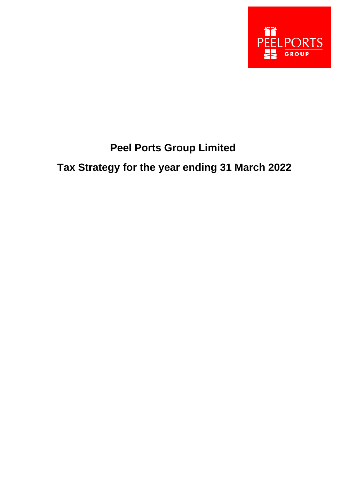

## **Peel Ports Group Limited**

**Tax Strategy for the year ending 31 March 2022**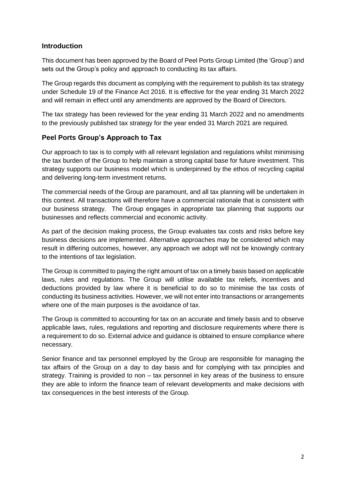## **Introduction**

This document has been approved by the Board of Peel Ports Group Limited (the 'Group') and sets out the Group's policy and approach to conducting its tax affairs.

The Group regards this document as complying with the requirement to publish its tax strategy under Schedule 19 of the Finance Act 2016. It is effective for the year ending 31 March 2022 and will remain in effect until any amendments are approved by the Board of Directors.

The tax strategy has been reviewed for the year ending 31 March 2022 and no amendments to the previously published tax strategy for the year ended 31 March 2021 are required.

## **Peel Ports Group's Approach to Tax**

Our approach to tax is to comply with all relevant legislation and regulations whilst minimising the tax burden of the Group to help maintain a strong capital base for future investment. This strategy supports our business model which is underpinned by the ethos of recycling capital and delivering long-term investment returns.

The commercial needs of the Group are paramount, and all tax planning will be undertaken in this context. All transactions will therefore have a commercial rationale that is consistent with our business strategy. The Group engages in appropriate tax planning that supports our businesses and reflects commercial and economic activity.

As part of the decision making process, the Group evaluates tax costs and risks before key business decisions are implemented. Alternative approaches may be considered which may result in differing outcomes, however, any approach we adopt will not be knowingly contrary to the intentions of tax legislation.

The Group is committed to paying the right amount of tax on a timely basis based on applicable laws, rules and regulations. The Group will utilise available tax reliefs, incentives and deductions provided by law where it is beneficial to do so to minimise the tax costs of conducting its business activities. However, we will not enter into transactions or arrangements where one of the main purposes is the avoidance of tax.

The Group is committed to accounting for tax on an accurate and timely basis and to observe applicable laws, rules, regulations and reporting and disclosure requirements where there is a requirement to do so. External advice and guidance is obtained to ensure compliance where necessary.

Senior finance and tax personnel employed by the Group are responsible for managing the tax affairs of the Group on a day to day basis and for complying with tax principles and strategy. Training is provided to non – tax personnel in key areas of the business to ensure they are able to inform the finance team of relevant developments and make decisions with tax consequences in the best interests of the Group.